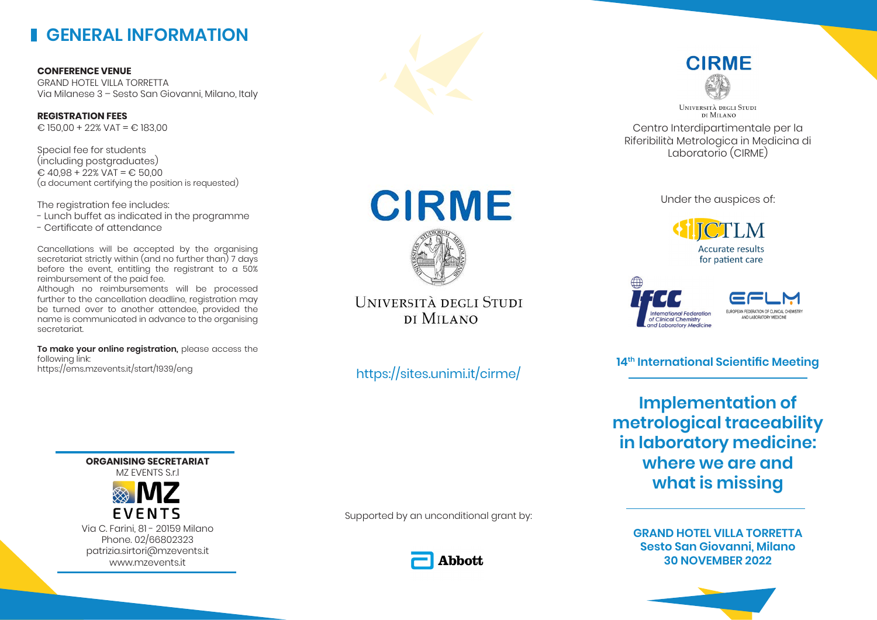# **GENERAL INFORMATION**

**CONFERENCE VENUE** GRAND HOTEL VILLA TORRETTA Via Milanese 3 – Sesto San Giovanni, Milano, Italy

**REGISTRATION FEES**  $\text{\textsterling}$  150,00 + 22% VAT =  $\text{\textsterling}$  183,00

Special fee for students (including postgraduates)  $\text{\textsterling}$  40.98 + 22% VAT =  $\text{\textsterling}$  50.00 (a document certifying the position is requested)

The registration fee includes:

- Lunch buffet as indicated in the programme
- Certificate of attendance

Cancellations will be accepted by the organising secretariat strictly within (and no further than) 7 days before the event, entitling the registrant to a 50% reimbursement of the paid fee.

Although no reimbursements will be processed further to the cancellation deadline, registration may be turned over to another attendee, provided the name is communicated in advance to the organising secretariat.

**To make your online registration,** please access the following link: https://ems.mzevents.it/start/1939/eng

> **ORGANISING SECRETARIAT** MZ EVENTS S.r.l



Via C. Farini, 81 - 20159 Milano Phone. 02/66802323 patrizia.sirtori@mzevents.it www.mzevents.it





UNIVERSITÀ DEGLI STUDI DI MILANO

Centro Interdipartimentale per la Riferibilità Metrologica in Medicina di Laboratorio (CIRME)

Under the auspices of:

**Accurate results** for patient care





**14th International Scientific Meeting**

**Implementation of metrological traceability in laboratory medicine: where we are and what is missing**

**GRAND HOTEL VILLA TORRETTA Sesto San Giovanni, Milano 30 NOVEMBER 2022**



**CIRME** 

UNIVERSITÀ DEGLI STUDI DI MILANO

https://sites.unimi.it/cirme/

Supported by an unconditional grant by: